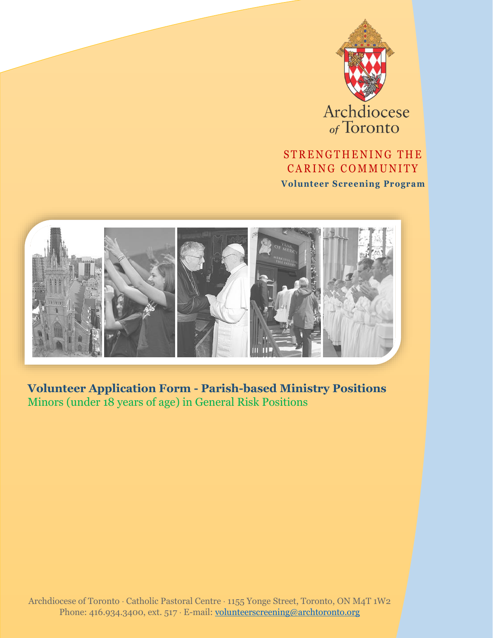

Archdiocese

### STRENGTHENING THE CARING COMMUNITY

**Volunteer Screening Program**



**Volunteer Application Form - Parish-based Ministry Positions** Minors (under 18 years of age) in General Risk Positions

Archdiocese of Toronto Catholic Pastoral Centre 1155 Yonge Street, Toronto, ON M4T 1W2 Phone: 416.934.3400, ext. 517 · E-mail: [volunteerscreening@archtoronto.org](mailto:volunteerscreening@archtoronto.org)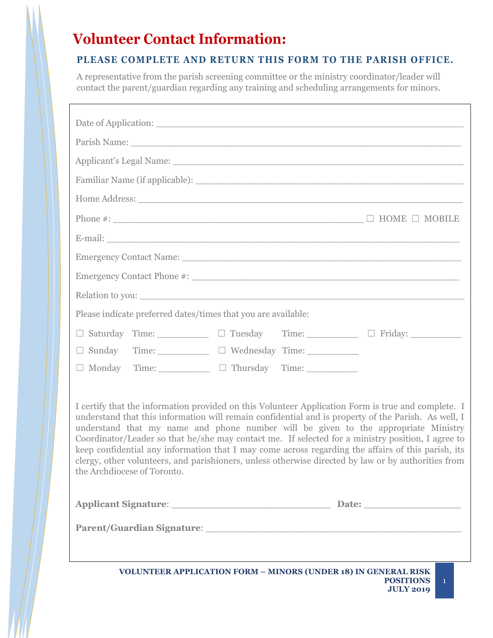# **Volunteer Contact Information:**

#### **PLEASE COMPLETE AND RETURN THIS FORM TO THE PARISH OFFICE.**

A representative from the parish screening committee or the ministry coordinator/leader will contact the parent/guardian regarding any training and scheduling arrangements for minors.

| Applicant's Legal Name: 1996. The Contract of the Contract of the Contract of the Contract of the Contract of the Contract of the Contract of the Contract of the Contract of the Contract of the Contract of the Contract of                                                                                                                                                                                                                                                                                                                                                                                                                    |  |  |
|--------------------------------------------------------------------------------------------------------------------------------------------------------------------------------------------------------------------------------------------------------------------------------------------------------------------------------------------------------------------------------------------------------------------------------------------------------------------------------------------------------------------------------------------------------------------------------------------------------------------------------------------------|--|--|
|                                                                                                                                                                                                                                                                                                                                                                                                                                                                                                                                                                                                                                                  |  |  |
|                                                                                                                                                                                                                                                                                                                                                                                                                                                                                                                                                                                                                                                  |  |  |
|                                                                                                                                                                                                                                                                                                                                                                                                                                                                                                                                                                                                                                                  |  |  |
|                                                                                                                                                                                                                                                                                                                                                                                                                                                                                                                                                                                                                                                  |  |  |
|                                                                                                                                                                                                                                                                                                                                                                                                                                                                                                                                                                                                                                                  |  |  |
|                                                                                                                                                                                                                                                                                                                                                                                                                                                                                                                                                                                                                                                  |  |  |
|                                                                                                                                                                                                                                                                                                                                                                                                                                                                                                                                                                                                                                                  |  |  |
| Please indicate preferred dates/times that you are available:                                                                                                                                                                                                                                                                                                                                                                                                                                                                                                                                                                                    |  |  |
| □ Saturday Time: □ Tuesday Time: □ Friday: □ Friday:                                                                                                                                                                                                                                                                                                                                                                                                                                                                                                                                                                                             |  |  |
| $\square$ Sunday Time: $\square$ $\square$ Wednesday Time:                                                                                                                                                                                                                                                                                                                                                                                                                                                                                                                                                                                       |  |  |
| $\Box$ Monday Time: $\Box$ Thursday Time:                                                                                                                                                                                                                                                                                                                                                                                                                                                                                                                                                                                                        |  |  |
| I certify that the information provided on this Volunteer Application Form is true and complete. I<br>understand that this information will remain confidential and is property of the Parish. As well, I<br>understand that my name and phone number will be given to the appropriate Ministry<br>Coordinator/Leader so that he/she may contact me. If selected for a ministry position, I agree to<br>keep confidential any information that I may come across regarding the affairs of this parish, its<br>clergy, other volunteers, and parishioners, unless otherwise directed by law or by authorities from<br>the Archdiocese of Toronto. |  |  |
| Applicant Signature: Date: Date:<br>Parent/Guardian Signature: National Communication of the Communication of the Communication of the Communication of the Communication of the Communication of the Communication of the Communication of the Communication of t                                                                                                                                                                                                                                                                                                                                                                               |  |  |
|                                                                                                                                                                                                                                                                                                                                                                                                                                                                                                                                                                                                                                                  |  |  |
| <b>VOLUNTEER APPLICATION FORM - MINORS (UNDER 18) IN GENERAL RISK</b><br><b>POSITIONS</b><br>$\mathbf{1}$<br><b>JULY 2019</b>                                                                                                                                                                                                                                                                                                                                                                                                                                                                                                                    |  |  |